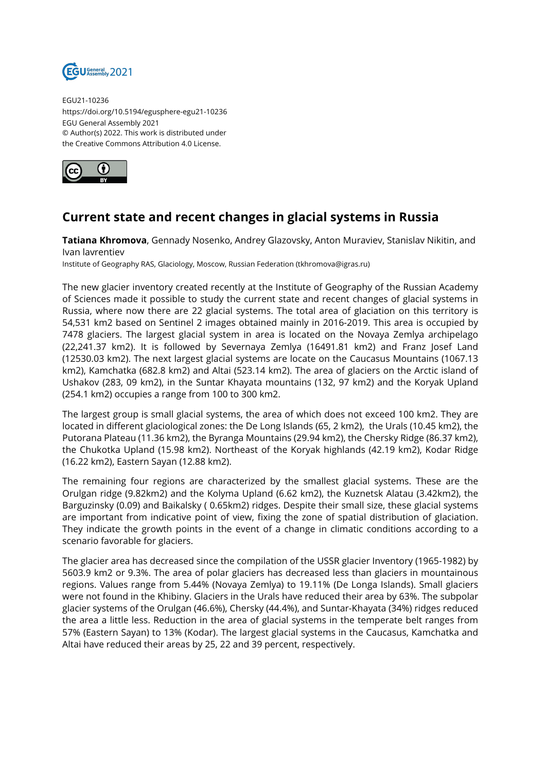

EGU21-10236 https://doi.org/10.5194/egusphere-egu21-10236 EGU General Assembly 2021 © Author(s) 2022. This work is distributed under the Creative Commons Attribution 4.0 License.



## **Current state and recent changes in glacial systems in Russia**

**Tatiana Khromova**, Gennady Nosenko, Andrey Glazovsky, Anton Muraviev, Stanislav Nikitin, and Ivan lavrentiev

Institute of Geography RAS, Glaciology, Moscow, Russian Federation (tkhromova@igras.ru)

The new glacier inventory created recently at the Institute of Geography of the Russian Academy of Sciences made it possible to study the current state and recent changes of glacial systems in Russia, where now there are 22 glacial systems. The total area of glaciation on this territory is 54,531 km2 based on Sentinel 2 images obtained mainly in 2016-2019. This area is occupied by 7478 glaciers. The largest glacial system in area is located on the Novaya Zemlya archipelago (22,241.37 km2). It is followed by Severnaya Zemlya (16491.81 km2) and Franz Josef Land (12530.03 km2). The next largest glacial systems are locate on the Caucasus Mountains (1067.13 km2), Kamchatka (682.8 km2) and Altai (523.14 km2). The area of glaciers on the Arctic island of Ushakov (283, 09 km2), in the Suntar Khayata mountains (132, 97 km2) and the Koryak Upland (254.1 km2) occupies a range from 100 to 300 km2.

The largest group is small glacial systems, the area of which does not exceed 100 km2. They are located in different glaciological zones: the De Long Islands (65, 2 km2), the Urals (10.45 km2), the Putorana Plateau (11.36 km2), the Byranga Mountains (29.94 km2), the Chersky Ridge (86.37 km2), the Chukotka Upland (15.98 km2). Northeast of the Koryak highlands (42.19 km2), Kodar Ridge (16.22 km2), Eastern Sayan (12.88 km2).

The remaining four regions are characterized by the smallest glacial systems. These are the Orulgan ridge (9.82km2) and the Kolyma Upland (6.62 km2), the Kuznetsk Alatau (3.42km2), the Barguzinsky (0.09) and Baikalsky ( 0.65km2) ridges. Despite their small size, these glacial systems are important from indicative point of view, fixing the zone of spatial distribution of glaciation. They indicate the growth points in the event of a change in climatic conditions according to a scenario favorable for glaciers.

The glacier area has decreased since the compilation of the USSR glacier Inventory (1965-1982) by 5603.9 km2 or 9.3%. The area of polar glaciers has decreased less than glaciers in mountainous regions. Values range from 5.44% (Novaya Zemlya) to 19.11% (De Longa Islands). Small glaciers were not found in the Khibiny. Glaciers in the Urals have reduced their area by 63%. The subpolar glacier systems of the Orulgan (46.6%), Chersky (44.4%), and Suntar-Khayata (34%) ridges reduced the area a little less. Reduction in the area of glacial systems in the temperate belt ranges from 57% (Eastern Sayan) to 13% (Kodar). The largest glacial systems in the Caucasus, Kamchatka and Altai have reduced their areas by 25, 22 and 39 percent, respectively.